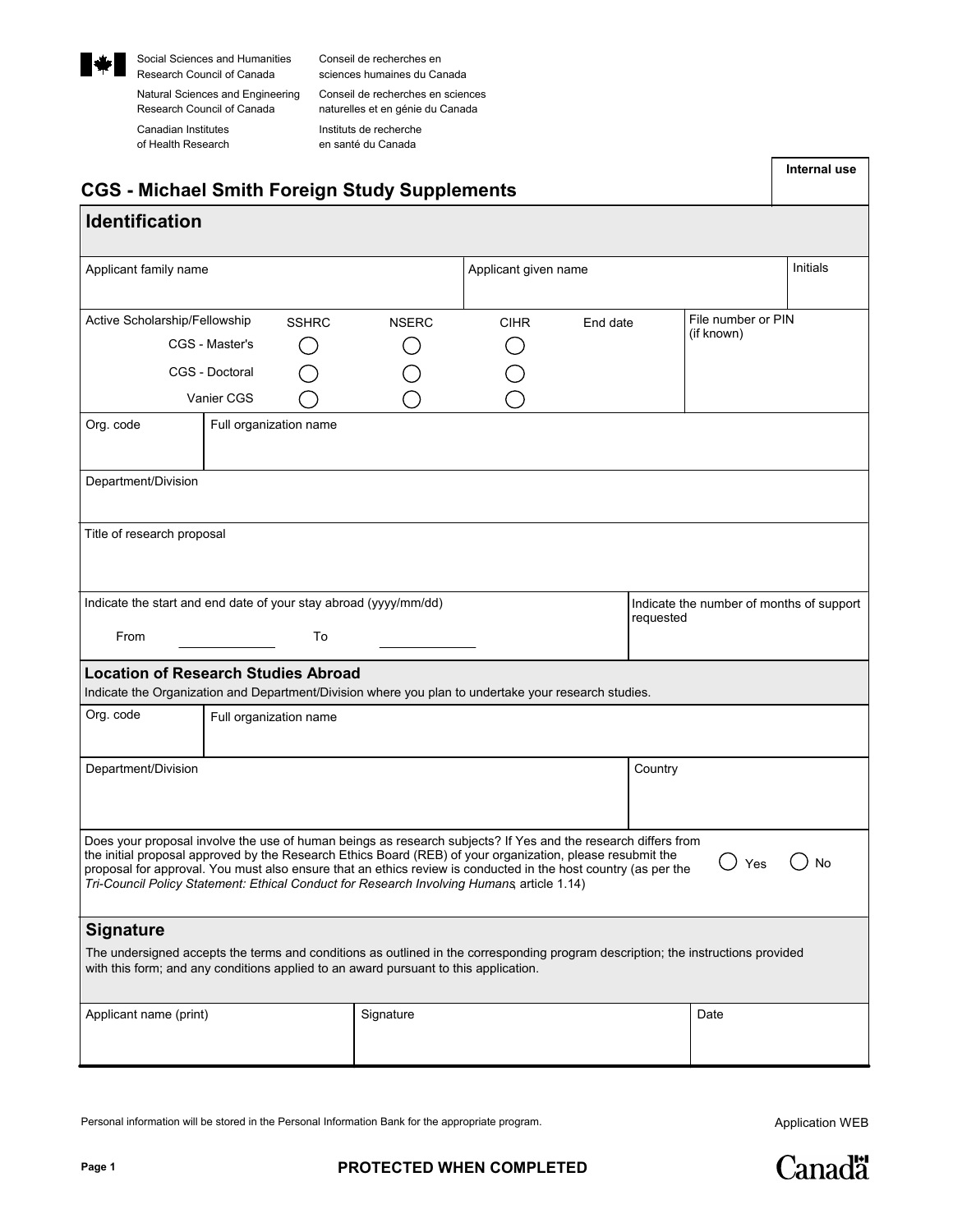

Research Council of Canada sciences humaines du Canada Social Sciences and Humanities Conseil de recherches en

Research Council of Canada Canadian Institutes of Health Research

Natural Sciences and Engineering Conseil de recherches en sciences naturelles et en génie du Canada Instituts de recherche en santé du Canada

| <b>CGS - Michael Smith Foreign Study Supplements</b>                                                                                                                                                                                                                                                                                                                                                                                       |              |                      |           |                                          | Internal use  |  |  |
|--------------------------------------------------------------------------------------------------------------------------------------------------------------------------------------------------------------------------------------------------------------------------------------------------------------------------------------------------------------------------------------------------------------------------------------------|--------------|----------------------|-----------|------------------------------------------|---------------|--|--|
| <b>Identification</b>                                                                                                                                                                                                                                                                                                                                                                                                                      |              |                      |           |                                          |               |  |  |
| Applicant family name                                                                                                                                                                                                                                                                                                                                                                                                                      |              | Applicant given name |           |                                          | Initials      |  |  |
| Active Scholarship/Fellowship<br><b>SSHRC</b><br>CGS - Master's<br>CGS - Doctoral<br>Vanier CGS                                                                                                                                                                                                                                                                                                                                            | <b>NSERC</b> | <b>CIHR</b>          | End date  | File number or PIN<br>(if known)         |               |  |  |
| Org. code<br>Full organization name                                                                                                                                                                                                                                                                                                                                                                                                        |              |                      |           |                                          |               |  |  |
| Department/Division                                                                                                                                                                                                                                                                                                                                                                                                                        |              |                      |           |                                          |               |  |  |
| Title of research proposal                                                                                                                                                                                                                                                                                                                                                                                                                 |              |                      |           |                                          |               |  |  |
| Indicate the start and end date of your stay abroad (yyyy/mm/dd)<br>From<br>To                                                                                                                                                                                                                                                                                                                                                             |              |                      | requested | Indicate the number of months of support |               |  |  |
| <b>Location of Research Studies Abroad</b><br>Indicate the Organization and Department/Division where you plan to undertake your research studies.                                                                                                                                                                                                                                                                                         |              |                      |           |                                          |               |  |  |
| Org. code<br>Full organization name                                                                                                                                                                                                                                                                                                                                                                                                        |              |                      |           |                                          |               |  |  |
| Department/Division                                                                                                                                                                                                                                                                                                                                                                                                                        |              |                      | Country   |                                          |               |  |  |
| Does your proposal involve the use of human beings as research subjects? If Yes and the research differs from<br>the initial proposal approved by the Research Ethics Board (REB) of your organization, please resubmit the<br>proposal for approval. You must also ensure that an ethics review is conducted in the host country (as per the<br>Tri-Council Policy Statement: Ethical Conduct for Research Involving Humans article 1.14) |              |                      |           | ⌒<br>$\bigcup$ Yes                       | $\bigcirc$ No |  |  |
| <b>Signature</b><br>The undersigned accepts the terms and conditions as outlined in the corresponding program description; the instructions provided<br>with this form; and any conditions applied to an award pursuant to this application.                                                                                                                                                                                               |              |                      |           |                                          |               |  |  |
| Applicant name (print)                                                                                                                                                                                                                                                                                                                                                                                                                     | Signature    |                      |           | Date                                     |               |  |  |

Personal information will be stored in the Personal Information Bank for the appropriate program.

Application WEB

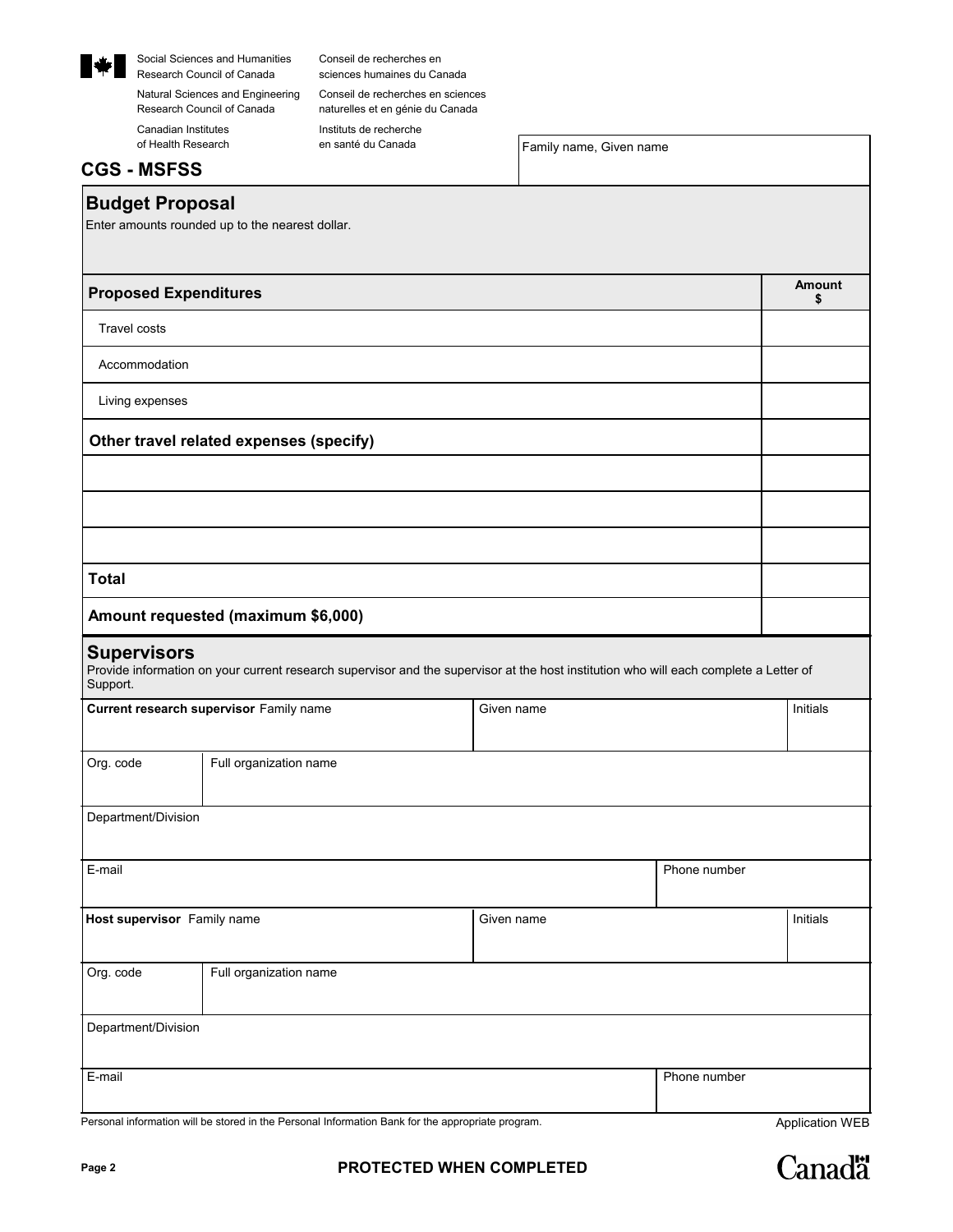

Social Sciences and Humanities Conseil de recherches en Research Council of Canada sciences humaines du Canada

Research Council of Canada Canadian Institutes of Health Research

Natural Sciences and Engineering Conseil de recherches en sciences naturelles et en génie du Canada Instituts de recherche en santé du Canada

Family name, Given name

## **CGS - MSFSS**

## **Budget Proposal**

Enter amounts rounded up to the nearest dollar.

| <b>Proposed Expenditures</b>                          |                                                                                                                                       |            |              | <b>Amount</b><br>\$ |
|-------------------------------------------------------|---------------------------------------------------------------------------------------------------------------------------------------|------------|--------------|---------------------|
| <b>Travel costs</b>                                   |                                                                                                                                       |            |              |                     |
| Accommodation                                         |                                                                                                                                       |            |              |                     |
| Living expenses                                       |                                                                                                                                       |            |              |                     |
|                                                       | Other travel related expenses (specify)                                                                                               |            |              |                     |
|                                                       |                                                                                                                                       |            |              |                     |
|                                                       |                                                                                                                                       |            |              |                     |
|                                                       |                                                                                                                                       |            |              |                     |
| <b>Total</b>                                          |                                                                                                                                       |            |              |                     |
|                                                       | Amount requested (maximum \$6,000)                                                                                                    |            |              |                     |
| <b>Supervisors</b><br>Support.                        | Provide information on your current research supervisor and the supervisor at the host institution who will each complete a Letter of |            |              |                     |
| Current research supervisor Family name<br>Given name |                                                                                                                                       |            | Initials     |                     |
| Org. code                                             | Full organization name                                                                                                                |            |              |                     |
| Department/Division                                   |                                                                                                                                       |            |              |                     |
| E-mail                                                |                                                                                                                                       |            | Phone number |                     |
| Host supervisor Family name                           |                                                                                                                                       | Given name |              | Initials            |
| Org. code                                             | Full organization name                                                                                                                |            |              |                     |

| E-mail | Phone number |
|--------|--------------|
|        |              |

Personal information will be stored in the Personal Information Bank for the appropriate program.<br>
Application WEB

Department/Division